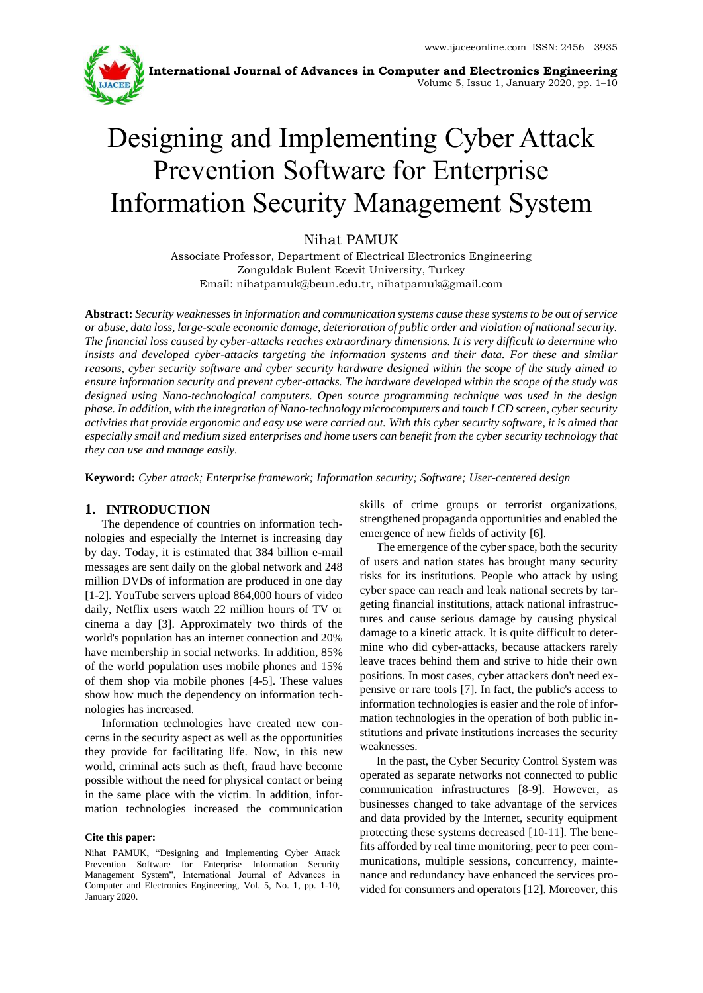

**International Journal of Advances in Computer and Electronics Engineering** Volume 5, Issue 1, January 2020, pp. 1–10

# Designing and Implementing Cyber Attack Prevention Software for Enterprise Information Security Management System

Nihat PAMUK

Associate Professor, Department of Electrical Electronics Engineering Zonguldak Bulent Ecevit University, Turkey Email: nihatpamuk@beun.edu.tr, nihatpamuk@gmail.com

**Abstract:** *Security weaknesses in information and communication systems cause these systems to be out of service or abuse, data loss, large-scale economic damage, deterioration of public order and violation of national security. The financial loss caused by cyber-attacks reaches extraordinary dimensions. It is very difficult to determine who insists and developed cyber-attacks targeting the information systems and their data. For these and similar reasons, cyber security software and cyber security hardware designed within the scope of the study aimed to ensure information security and prevent cyber-attacks. The hardware developed within the scope of the study was designed using Nano-technological computers. Open source programming technique was used in the design phase. In addition, with the integration of Nano-technology microcomputers and touch LCD screen, cyber security activities that provide ergonomic and easy use were carried out. With this cyber security software, it is aimed that especially small and medium sized enterprises and home users can benefit from the cyber security technology that they can use and manage easily.*

**Keyword:** *Cyber attack; Enterprise framework; Information security; Software; User-centered design*

# **1. INTRODUCTION**

The dependence of countries on information technologies and especially the Internet is increasing day by day. Today, it is estimated that 384 billion e-mail messages are sent daily on the global network and 248 million DVDs of information are produced in one day [1-2]. YouTube servers upload 864,000 hours of video daily, Netflix users watch 22 million hours of TV or cinema a day [3]. Approximately two thirds of the world's population has an internet connection and 20% have membership in social networks. In addition, 85% of the world population uses mobile phones and 15% of them shop via mobile phones [4-5]. These values show how much the dependency on information technologies has increased.

Information technologies have created new concerns in the security aspect as well as the opportunities they provide for facilitating life. Now, in this new world, criminal acts such as theft, fraud have become possible without the need for physical contact or being in the same place with the victim. In addition, information technologies increased the communication

#### **Cite this paper:**

skills of crime groups or terrorist organizations, strengthened propaganda opportunities and enabled the emergence of new fields of activity [6].

The emergence of the cyber space, both the security of users and nation states has brought many security risks for its institutions. People who attack by using cyber space can reach and leak national secrets by targeting financial institutions, attack national infrastructures and cause serious damage by causing physical damage to a kinetic attack. It is quite difficult to determine who did cyber-attacks, because attackers rarely leave traces behind them and strive to hide their own positions. In most cases, cyber attackers don't need expensive or rare tools [7]. In fact, the public's access to information technologies is easier and the role of information technologies in the operation of both public institutions and private institutions increases the security weaknesses.

In the past, the Cyber Security Control System was operated as separate networks not connected to public communication infrastructures [8-9]. However, as businesses changed to take advantage of the services and data provided by the Internet, security equipment protecting these systems decreased [10-11]. The benefits afforded by real time monitoring, peer to peer communications, multiple sessions, concurrency, maintenance and redundancy have enhanced the services provided for consumers and operators [12]. Moreover, this

Nihat PAMUK, "Designing and Implementing Cyber Attack Prevention Software for Enterprise Information Security Management System", International Journal of Advances in Computer and Electronics Engineering, Vol. 5, No. 1, pp. 1-10, January 2020.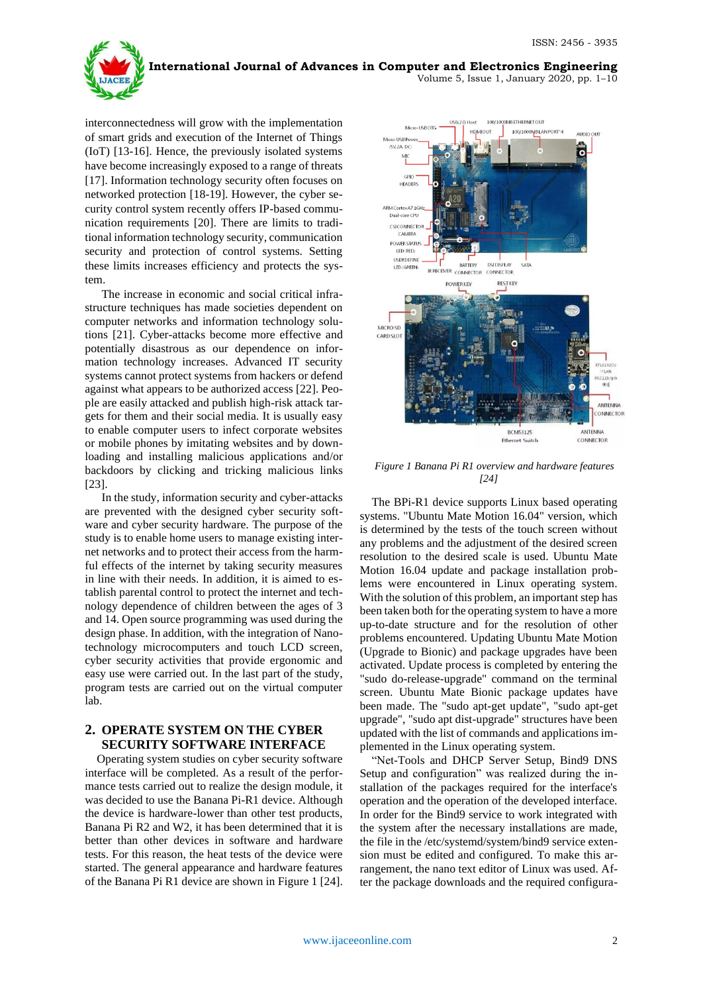**International Journal of Advances in Computer and Electronics Engineering** Volume 5, Issue 1, January 2020, pp. 1–10

interconnectedness will grow with the implementation of smart grids and execution of the Internet of Things (IoT) [13-16]. Hence, the previously isolated systems have become increasingly exposed to a range of threats [17]. Information technology security often focuses on networked protection [18-19]. However, the cyber security control system recently offers IP-based communication requirements [20]. There are limits to traditional information technology security, communication security and protection of control systems. Setting these limits increases efficiency and protects the system.

The increase in economic and social critical infrastructure techniques has made societies dependent on computer networks and information technology solutions [21]. Cyber-attacks become more effective and potentially disastrous as our dependence on information technology increases. Advanced IT security systems cannot protect systems from hackers or defend against what appears to be authorized access [22]. People are easily attacked and publish high-risk attack targets for them and their social media. It is usually easy to enable computer users to infect corporate websites or mobile phones by imitating websites and by downloading and installing malicious applications and/or backdoors by clicking and tricking malicious links [23].

In the study, information security and cyber-attacks are prevented with the designed cyber security software and cyber security hardware. The purpose of the study is to enable home users to manage existing internet networks and to protect their access from the harmful effects of the internet by taking security measures in line with their needs. In addition, it is aimed to establish parental control to protect the internet and technology dependence of children between the ages of 3 and 14. Open source programming was used during the design phase. In addition, with the integration of Nanotechnology microcomputers and touch LCD screen, cyber security activities that provide ergonomic and easy use were carried out. In the last part of the study, program tests are carried out on the virtual computer lab.

# **2. OPERATE SYSTEM ON THE CYBER SECURITY SOFTWARE INTERFACE**

Operating system studies on cyber security software interface will be completed. As a result of the performance tests carried out to realize the design module, it was decided to use the Banana Pi-R1 device. Although the device is hardware-lower than other test products, Banana Pi R2 and W2, it has been determined that it is better than other devices in software and hardware tests. For this reason, the heat tests of the device were started. The general appearance and hardware features of the Banana Pi R1 device are shown in Figure 1 [24].



*Figure 1 Banana Pi R1 overview and hardware features [24]*

The BPi-R1 device supports Linux based operating systems. "Ubuntu Mate Motion 16.04" version, which is determined by the tests of the touch screen without any problems and the adjustment of the desired screen resolution to the desired scale is used. Ubuntu Mate Motion 16.04 update and package installation problems were encountered in Linux operating system. With the solution of this problem, an important step has been taken both for the operating system to have a more up-to-date structure and for the resolution of other problems encountered. Updating Ubuntu Mate Motion (Upgrade to Bionic) and package upgrades have been activated. Update process is completed by entering the "sudo do-release-upgrade" command on the terminal screen. Ubuntu Mate Bionic package updates have been made. The "sudo apt-get update", "sudo apt-get upgrade", "sudo apt dist-upgrade" structures have been updated with the list of commands and applications implemented in the Linux operating system.

"Net-Tools and DHCP Server Setup, Bind9 DNS Setup and configuration" was realized during the installation of the packages required for the interface's operation and the operation of the developed interface. In order for the Bind9 service to work integrated with the system after the necessary installations are made, the file in the /etc/systemd/system/bind9 service extension must be edited and configured. To make this arrangement, the nano text editor of Linux was used. After the package downloads and the required configura-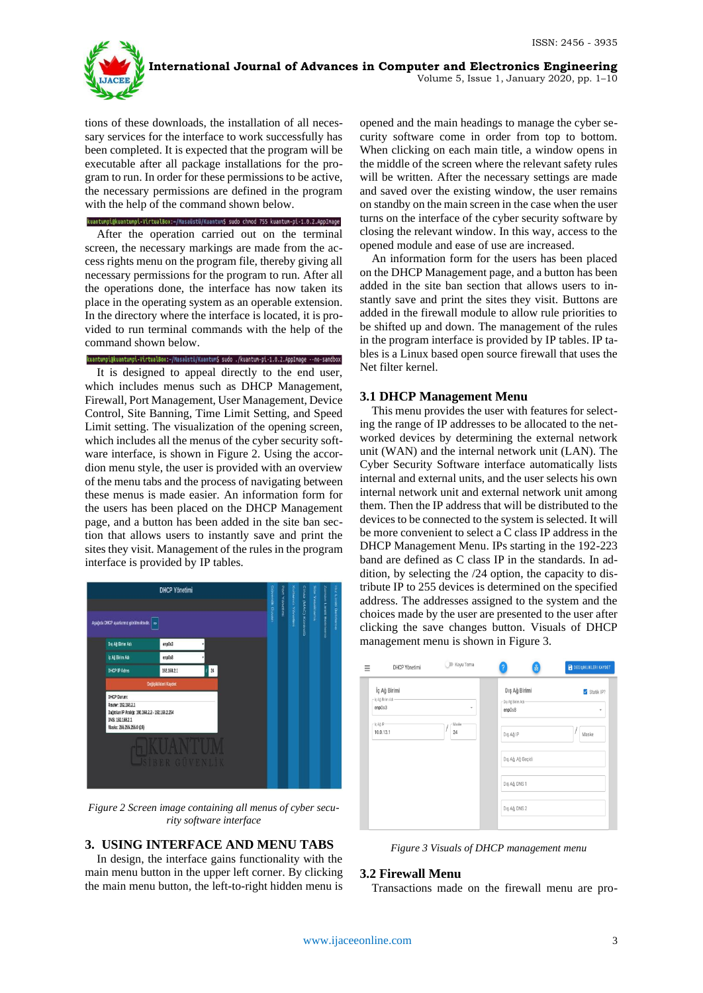

**International Journal of Advances in Computer and Electronics Engineering**

Volume 5, Issue 1, January 2020, pp. 1–10

tions of these downloads, the installation of all necessary services for the interface to work successfully has been completed. It is expected that the program will be executable after all package installations for the program to run. In order for these permissions to be active, the necessary permissions are defined in the program with the help of the command shown below.

kuantumpi@kuantumpi-VirtualBox:~/Masaüstü/Kuantum\$ sudo chmod 755 kuantum-pi-1.0.2.AppImage

After the operation carried out on the terminal screen, the necessary markings are made from the access rights menu on the program file, thereby giving all necessary permissions for the program to run. After all the operations done, the interface has now taken its place in the operating system as an operable extension. In the directory where the interface is located, it is provided to run terminal commands with the help of the command shown below.

# kuantumpi@kuantumpi-VirtualBox:-/Masaüstü/Kuantum\$ sudo ./kuantum-pi-1.0.2.AppImage --no-sandbox

It is designed to appeal directly to the end user, which includes menus such as DHCP Management, Firewall, Port Management, User Management, Device Control, Site Banning, Time Limit Setting, and Speed Limit setting. The visualization of the opening screen, which includes all the menus of the cyber security software interface, is shown in Figure 2. Using the accordion menu style, the user is provided with an overview of the menu tabs and the process of navigating between these menus is made easier. An information form for the users has been placed on the DHCP Management page, and a button has been added in the site ban section that allows users to instantly save and print the sites they visit. Management of the rules in the program interface is provided by IP tables.



*Figure 2 Screen image containing all menus of cyber security software interface*

# **3. USING INTERFACE AND MENU TABS**

In design, the interface gains functionality with the main menu button in the upper left corner. By clicking the main menu button, the left-to-right hidden menu is

opened and the main headings to manage the cyber security software come in order from top to bottom. When clicking on each main title, a window opens in the middle of the screen where the relevant safety rules will be written. After the necessary settings are made and saved over the existing window, the user remains on standby on the main screen in the case when the user turns on the interface of the cyber security software by closing the relevant window. In this way, access to the opened module and ease of use are increased.

An information form for the users has been placed on the DHCP Management page, and a button has been added in the site ban section that allows users to instantly save and print the sites they visit. Buttons are added in the firewall module to allow rule priorities to be shifted up and down. The management of the rules in the program interface is provided by IP tables. IP tables is a Linux based open source firewall that uses the Net filter kernel.

## **3.1 DHCP Management Menu**

This menu provides the user with features for selecting the range of IP addresses to be allocated to the networked devices by determining the external network unit (WAN) and the internal network unit (LAN). The Cyber Security Software interface automatically lists internal and external units, and the user selects his own internal network unit and external network unit among them. Then the IP address that will be distributed to the devices to be connected to the system is selected. It will be more convenient to select a C class IP address in the DHCP Management Menu. IPs starting in the 192-223 band are defined as C class IP in the standards. In addition, by selecting the /24 option, the capacity to distribute IP to 255 devices is determined on the specified address. The addresses assigned to the system and the choices made by the user are presented to the user after clicking the save changes button. Visuals of DHCP management menu is shown in Figure 3.

| Ξ                       | DHCP Yönetimi                     | Koyu Tema   | 묾<br>$\overline{?}$                           | <b>DEGISIKLIKLERI KAYDET</b> |
|-------------------------|-----------------------------------|-------------|-----------------------------------------------|------------------------------|
| enpOs3                  | İç Ağ Birimi<br>- Iç Ağ Birim Adı | $\psi$      | Dış Ağ Birimi<br>- Dış Ağ Birim Adı<br>enp0s8 | Statik IP?<br>٠              |
| -lç Ağ IP-<br>10.0.13.1 |                                   | Maske<br>24 | Dış Ağ IP                                     | Maske                        |
|                         |                                   |             | Dış Ağ, Ağ Geçidi                             |                              |
|                         |                                   |             | Dış Ağ, DNS 1                                 |                              |
|                         |                                   |             | Dış Ağ, DNS 2                                 |                              |

*Figure 3 Visuals of DHCP management menu*

## **3.2 Firewall Menu**

Transactions made on the firewall menu are pro-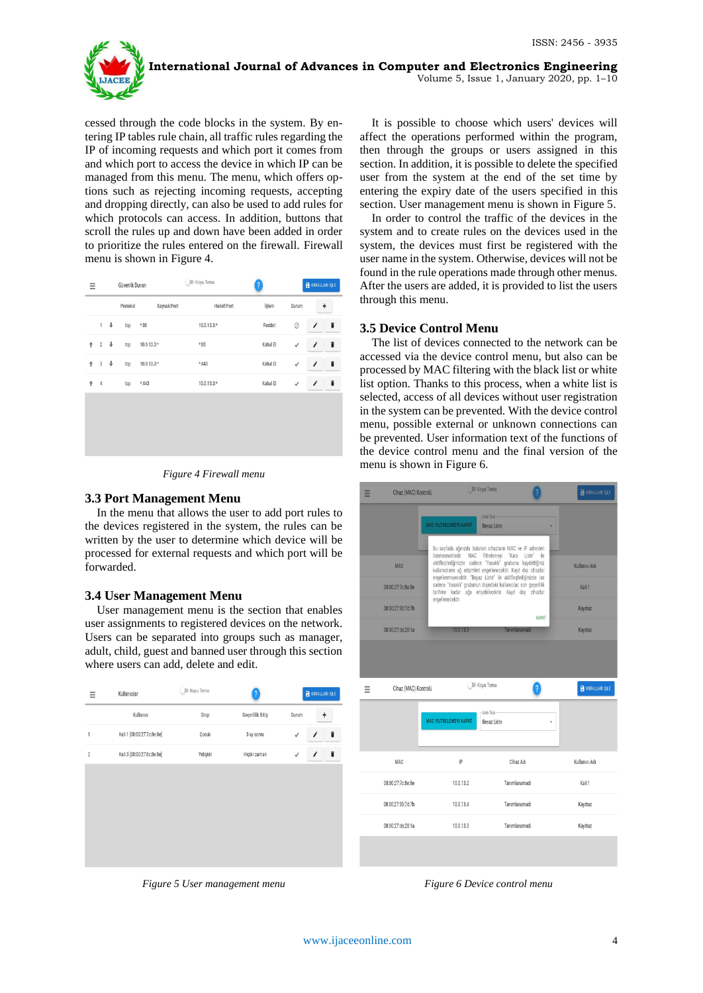

cessed through the code blocks in the system. By entering IP tables rule chain, all traffic rules regarding the IP of incoming requests and which port it comes from and which port to access the device in which IP can be managed from this menu. The menu, which offers options such as rejecting incoming requests, accepting and dropping directly, can also be used to add rules for which protocols can access. In addition, buttons that scroll the rules up and down have been added in order to prioritize the rules entered on the firewall. Firewall menu is shown in Figure 4.

| Ξ |                           |                      | Güvenlik Duvarı |              | <b>ID</b> Koyu Tema |            | ?        |              | <b>R</b> KURALLARI İŞLE |   |
|---|---------------------------|----------------------|-----------------|--------------|---------------------|------------|----------|--------------|-------------------------|---|
|   |                           |                      | Protokol        | Kaynak:Port  |                     | Hedef:Port | İşlem    | Durum        |                         | + |
|   | $\mathbf{1}$              | $\ddot{\phantom{0}}$ | tcp             | $* : 80$     | $10.0.13.3*$        |            | Reddet   | $\oslash$    | Î                       | î |
| ↑ | $\overline{2}$            | $\ddot{\phantom{0}}$ | tcp             | $10.0.13.3*$ | *:80                |            | Kabul Et | $\checkmark$ | $\prime$                | î |
| ↟ | $\ensuremath{\mathsf{3}}$ | ↓                    | tcp             | $10.0.13.3*$ | *: 443              |            | Kabul Et | $\checkmark$ | $\prime$                | î |
| ↟ | $\overline{4}$            |                      | tcp             | $*:443$      | $10.0.13.3*$        |            | Kabul Et | √            | Î                       | î |
|   |                           |                      |                 |              |                     |            |          |              |                         |   |
|   |                           |                      |                 |              |                     |            |          |              |                         |   |
|   |                           |                      |                 |              |                     |            |          |              |                         |   |
|   |                           |                      |                 |              |                     |            |          |              |                         |   |

*Figure 4 Firewall menu*

## **3.3 Port Management Menu**

In the menu that allows the user to add port rules to the devices registered in the system, the rules can be written by the user to determine which device will be processed for external requests and which port will be forwarded.

## **3.4 User Management Menu**

User management menu is the section that enables user assignments to registered devices on the network. Users can be separated into groups such as manager, adult, child, guest and banned user through this section where users can add, delete and edit.

| Ξ              | Kullanıcılar               | ID Koyu Tema | ?                | KURALLARI İŞLE    |
|----------------|----------------------------|--------------|------------------|-------------------|
|                | Kullanıcı                  | Grup         | Geçerlilik Bitiş | Durum<br>+        |
| 1              | Kali 1 [08:00:27:7c:8e:8e] | Çocuk        | 3 ay sonra       | î<br>√            |
| $\overline{c}$ | Kali 3 [08:00:27:8c:8e:8e] | Yetişkin     | Hiçbir zaman     | Î<br>$\checkmark$ |
|                |                            |              |                  |                   |
|                |                            |              |                  |                   |
|                |                            |              |                  |                   |
|                |                            |              |                  |                   |
|                |                            |              |                  |                   |

then through the groups or users assigned in this section. In addition, it is possible to delete the specified user from the system at the end of the set time by entering the expiry date of the users specified in this section. User management menu is shown in Figure 5. In order to control the traffic of the devices in the

It is possible to choose which users' devices will affect the operations performed within the program,

system and to create rules on the devices used in the system, the devices must first be registered with the user name in the system. Otherwise, devices will not be found in the rule operations made through other menus. After the users are added, it is provided to list the users through this menu.

# **3.5 Device Control Menu**

The list of devices connected to the network can be accessed via the device control menu, but also can be processed by MAC filtering with the black list or white list option. Thanks to this process, when a white list is selected, access of all devices without user registration in the system can be prevented. With the device control menu, possible external or unknown connections can be prevented. User information text of the functions of the device control menu and the final version of the menu is shown in Figure 6.

| Ξ | Cihaz (MAC) Kontrolü | Koyu Tema              |                                                                                                                                                                                                                                                              | <b>R</b> KURALLARI İŞLE |
|---|----------------------|------------------------|--------------------------------------------------------------------------------------------------------------------------------------------------------------------------------------------------------------------------------------------------------------|-------------------------|
|   |                      | MAC FILTRELEMEYI KAPAT | - Liste Turü -<br><b>Bevaz Liste</b><br>Bu sayfada ağınızda bulunan cihazların MAC ve IP adresleri                                                                                                                                                           |                         |
|   | <b>MAC</b>           |                        | listelenmektedir. MAC filtrelemevi "Kara Liste"<br>ile<br>aktifleştirdiğinizde sadece "Yasaklı" grubuna kaydettiğiniz<br>kullanıcıların ağ erişimleri engellenecektir. Kayıt dışı cihazlar<br>engellenmeyecektir. "Beyaz Liste" ile aktifleştirdiğinizde ise | Kullanıcı Adı           |
|   | 08:00:27:7c:8e:8e    | engellenecektir.       | sadece "Yasaklı" grubunun dışındaki kullanıcılar, son geçerlilik<br>tarihine kadar ağa erişebilecektir. Kayıt dışı cihazlar                                                                                                                                  | Kali 1                  |
|   | 08:00:27:93:7d:7b    |                        | КАРАТ                                                                                                                                                                                                                                                        | Kayıtsız                |
|   | 08:00:27:da:28:1a    | 10.0.13.3              | Tanımlanamadı                                                                                                                                                                                                                                                | Kayıtsız                |
|   |                      |                        |                                                                                                                                                                                                                                                              |                         |
| Ξ | Cihaz (MAC) Kontrolü | Koyu Tema              |                                                                                                                                                                                                                                                              | <b>R</b> KURALLARI İŞLE |
|   |                      | MAC FILTRELEMEYI KAPAT | - Liste Türü-<br>Bevaz Liste                                                                                                                                                                                                                                 |                         |
|   | MAC                  | IP                     | Cihaz Adı                                                                                                                                                                                                                                                    | Kullanıcı Adı           |
|   | 08:00:27:7c:8e:8e    | 10.0.13.2              | Tanımlanamadı                                                                                                                                                                                                                                                | Kali 1                  |
|   | 08:00:27:93:7d:7b    | 10.0.13.4              | Tanımlanamadı                                                                                                                                                                                                                                                | Kayıtsız                |
|   | 08:00:27:da:28:1a    | 10.0.13.3              | Tanımlanamadı                                                                                                                                                                                                                                                | Kayıtsız                |

*Figure 5 User management menu*

*Figure 6 Device control menu*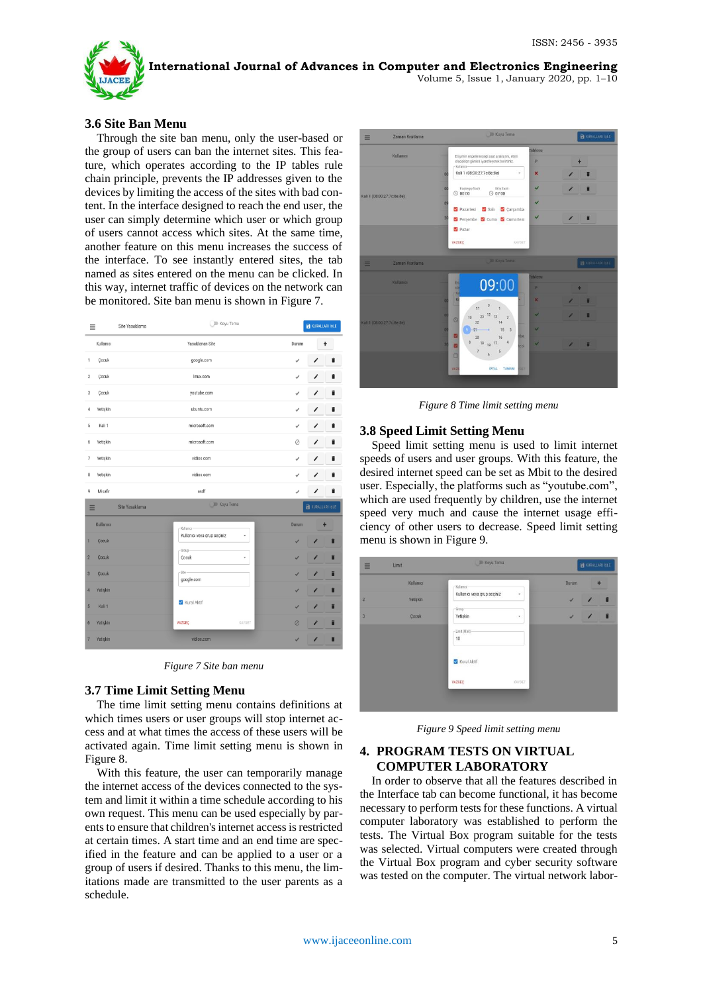

## **3.6 Site Ban Menu**

Through the site ban menu, only the user-based or the group of users can ban the internet sites. This feature, which operates according to the IP tables rule chain principle, prevents the IP addresses given to the devices by limiting the access of the sites with bad content. In the interface designed to reach the end user, the user can simply determine which user or which group of users cannot access which sites. At the same time, another feature on this menu increases the success of the interface. To see instantly entered sites, the tab named as sites entered on the menu can be clicked. In this way, internet traffic of devices on the network can be monitored. Site ban menu is shown in Figure 7.

| Ξ              |           | Site Yasaklama | <b>DI</b> Koyu Tema         |        |              | <b>RURALLARI IŞLE</b>   |   |
|----------------|-----------|----------------|-----------------------------|--------|--------------|-------------------------|---|
|                | Kullanıcı |                | Yasaklanan Site             |        | Durum        |                         | + |
| 1              | Çocuk     |                | google.com                  |        | √            |                         | î |
| $\,2$          | Çocuk     |                | linux.com                   |        | $\checkmark$ | 1                       | î |
| 3              | Çocuk     |                | youtube.com                 |        | $\checkmark$ | Í                       | Ĥ |
| 4              | Yetişkin  |                | ubuntu.com                  |        | √            | 1                       | î |
| 5              | Kali 1    |                | microsoft.com               |        | ✓            | I                       | ï |
| 6              | Yetişkin  |                | microsoft.com               |        | 0            | Î                       |   |
| 7              | Yetişkin  |                | vidios.com                  |        | $\checkmark$ | I                       | i |
| 8              | Yetişkin  |                | vidios.com                  |        | $\checkmark$ | í                       |   |
| 9              | Misafir   |                | asdf                        |        | $\checkmark$ | 1                       | î |
| Ξ              |           | Site Yasaklama | <b>D</b> Koyu Tema          |        |              | <b>R</b> KURALLARI İŞLE |   |
|                | Kullanıcı |                | Kullanıcı-                  |        | Durum        |                         | ٠ |
| 1              | Cocuk     |                | Kullanıcı veya grup seçiniz | ÷      | ✓            | Î                       | î |
| $\overline{2}$ | Cocuk     |                | - Group-<br>Cocuk           | v      | ✓            | 1                       | П |
| 3              | Cocuk     |                | $-Site$<br>google.com       |        | ✓            | Î                       | î |
| $\overline{4}$ | Yetişkin  |                |                             |        | V            | 1                       | Ħ |
| 5              | Kali 1    |                | Kural Aktif                 |        | ✓            | 1                       | î |
| 6              | Yetişkin  |                | VAZGEC                      | KAYDET | Ø            | 1                       | î |
| $\overline{7}$ | Yetişkin  |                | vidios.com                  |        | v            |                         |   |

*Figure 7 Site ban menu*

# **3.7 Time Limit Setting Menu**

The time limit setting menu contains definitions at which times users or user groups will stop internet access and at what times the access of these users will be activated again. Time limit setting menu is shown in Figure 8.

With this feature, the user can temporarily manage the internet access of the devices connected to the system and limit it within a time schedule according to his own request. This menu can be used especially by parents to ensure that children's internet access is restricted at certain times. A start time and an end time are specified in the feature and can be applied to a user or a group of users if desired. Thanks to this menu, the limitations made are transmitted to the user parents as a schedule.



*Figure 8 Time limit setting menu*

### **3.8 Speed Limit Setting Menu**

Speed limit setting menu is used to limit internet speeds of users and user groups. With this feature, the desired internet speed can be set as Mbit to the desired user. Especially, the platforms such as "youtube.com", which are used frequently by children, use the internet speed very much and cause the internet usage efficiency of other users to decrease. Speed limit setting menu is shown in Figure 9.

| ≡              | Limit     | <b>ID Koyu Tema</b>         |   |       | R KURALLARI IŞLE |   |
|----------------|-----------|-----------------------------|---|-------|------------------|---|
|                | Kullanıcı | $-Ku$ lanci                 |   | Durum |                  | ÷ |
| $\overline{c}$ | Yetişkin  | Kullanıcı veya grup seçiniz | ٠ | U     |                  | f |
| 3              | Cocuk     | $-$ Group-<br>Yetişkin      | ۰ | J     |                  |   |
|                |           | - Limit (Mbit)<br>$10\,$    |   |       |                  |   |
|                |           | Kural Aktif                 |   |       |                  |   |
|                |           |                             |   |       |                  |   |

*Figure 9 Speed limit setting menu*

# **4. PROGRAM TESTS ON VIRTUAL COMPUTER LABORATORY**

In order to observe that all the features described in the Interface tab can become functional, it has become necessary to perform tests for these functions. A virtual computer laboratory was established to perform the tests. The Virtual Box program suitable for the tests was selected. Virtual computers were created through the Virtual Box program and cyber security software was tested on the computer. The virtual network labor-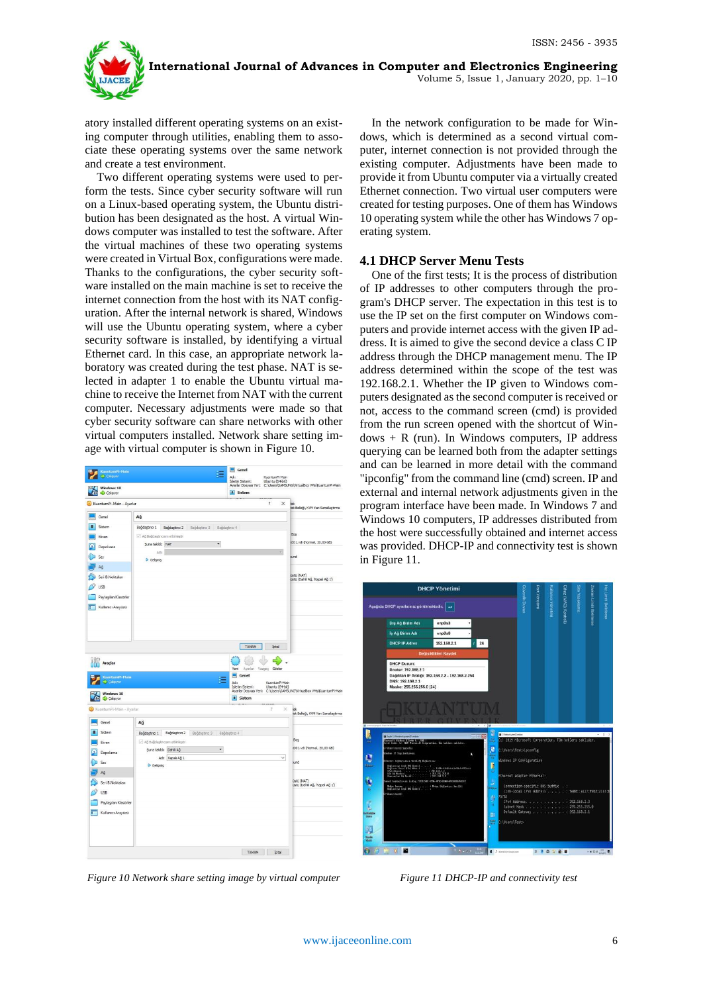

atory installed different operating systems on an existing computer through utilities, enabling them to associate these operating systems over the same network and create a test environment.

Two different operating systems were used to perform the tests. Since cyber security software will run on a Linux-based operating system, the Ubuntu distribution has been designated as the host. A virtual Windows computer was installed to test the software. After the virtual machines of these two operating systems were created in Virtual Box, configurations were made. Thanks to the configurations, the cyber security software installed on the main machine is set to receive the internet connection from the host with its NAT configuration. After the internal network is shared, Windows will use the Ubuntu operating system, where a cyber security software is installed, by identifying a virtual Ethernet card. In this case, an appropriate network laboratory was created during the test phase. NAT is selected in adapter 1 to enable the Ubuntu virtual machine to receive the Internet from NAT with the current computer. Necessary adjustments were made so that cyber security software can share networks with other virtual computers installed. Network share setting image with virtual computer is shown in Figure 10.



*Figure 10 Network share setting image by virtual computer*

In the network configuration to be made for Windows, which is determined as a second virtual computer, internet connection is not provided through the existing computer. Adjustments have been made to provide it from Ubuntu computer via a virtually created Ethernet connection. Two virtual user computers were created for testing purposes. One of them has Windows 10 operating system while the other has Windows 7 operating system.

#### **4.1 DHCP Server Menu Tests**

One of the first tests; It is the process of distribution of IP addresses to other computers through the program's DHCP server. The expectation in this test is to use the IP set on the first computer on Windows computers and provide internet access with the given IP address. It is aimed to give the second device a class C IP address through the DHCP management menu. The IP address determined within the scope of the test was 192.168.2.1. Whether the IP given to Windows computers designated as the second computer is received or not, access to the command screen (cmd) is provided from the run screen opened with the shortcut of Win $dows + R$  (run). In Windows computers, IP address querying can be learned both from the adapter settings and can be learned in more detail with the command "ipconfig" from the command line (cmd) screen. IP and external and internal network adjustments given in the program interface have been made. In Windows 7 and Windows 10 computers, IP addresses distributed from the host were successfully obtained and internet access was provided. DHCP-IP and connectivity test is shown in Figure 11.



*Figure 11 DHCP-IP and connectivity test*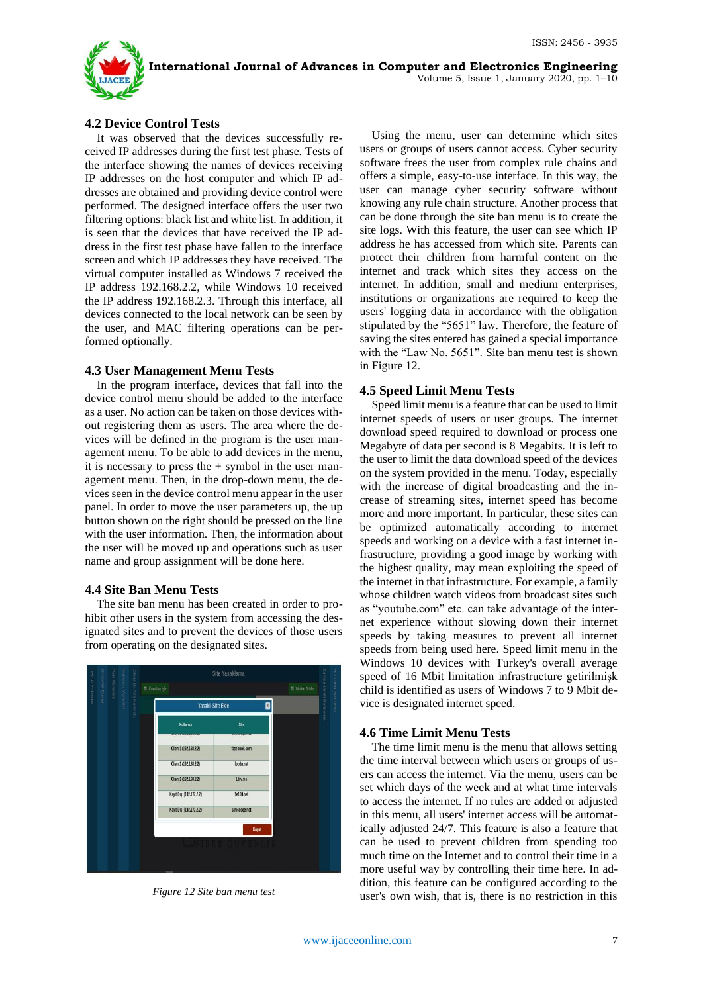

# **4.2 Device Control Tests**

It was observed that the devices successfully received IP addresses during the first test phase. Tests of the interface showing the names of devices receiving IP addresses on the host computer and which IP addresses are obtained and providing device control were performed. The designed interface offers the user two filtering options: black list and white list. In addition, it is seen that the devices that have received the IP address in the first test phase have fallen to the interface screen and which IP addresses they have received. The virtual computer installed as Windows 7 received the IP address 192.168.2.2, while Windows 10 received the IP address 192.168.2.3. Through this interface, all devices connected to the local network can be seen by the user, and MAC filtering operations can be performed optionally.

## **4.3 User Management Menu Tests**

In the program interface, devices that fall into the device control menu should be added to the interface as a user. No action can be taken on those devices without registering them as users. The area where the devices will be defined in the program is the user management menu. To be able to add devices in the menu, it is necessary to press the  $+$  symbol in the user management menu. Then, in the drop-down menu, the devices seen in the device control menu appear in the user panel. In order to move the user parameters up, the up button shown on the right should be pressed on the line with the user information. Then, the information about the user will be moved up and operations such as user name and group assignment will be done here.

## **4.4 Site Ban Menu Tests**

The site ban menu has been created in order to prohibit other users in the system from accessing the designated sites and to prevent the devices of those users from operating on the designated sites.



*Figure 12 Site ban menu test*

Using the menu, user can determine which sites users or groups of users cannot access. Cyber security software frees the user from complex rule chains and offers a simple, easy-to-use interface. In this way, the user can manage cyber security software without knowing any rule chain structure. Another process that can be done through the site ban menu is to create the site logs. With this feature, the user can see which IP address he has accessed from which site. Parents can protect their children from harmful content on the internet and track which sites they access on the internet. In addition, small and medium enterprises, institutions or organizations are required to keep the users' logging data in accordance with the obligation stipulated by the "5651" law. Therefore, the feature of saving the sites entered has gained a special importance with the "Law No. 5651". Site ban menu test is shown in Figure 12.

## **4.5 Speed Limit Menu Tests**

Speed limit menu is a feature that can be used to limit internet speeds of users or user groups. The internet download speed required to download or process one Megabyte of data per second is 8 Megabits. It is left to the user to limit the data download speed of the devices on the system provided in the menu. Today, especially with the increase of digital broadcasting and the increase of streaming sites, internet speed has become more and more important. In particular, these sites can be optimized automatically according to internet speeds and working on a device with a fast internet infrastructure, providing a good image by working with the highest quality, may mean exploiting the speed of the internet in that infrastructure. For example, a family whose children watch videos from broadcast sites such as "youtube.com" etc. can take advantage of the internet experience without slowing down their internet speeds by taking measures to prevent all internet speeds from being used here. Speed limit menu in the Windows 10 devices with Turkey's overall average speed of 16 Mbit limitation infrastructure getirilmişk child is identified as users of Windows 7 to 9 Mbit device is designated internet speed.

# **4.6 Time Limit Menu Tests**

The time limit menu is the menu that allows setting the time interval between which users or groups of users can access the internet. Via the menu, users can be set which days of the week and at what time intervals to access the internet. If no rules are added or adjusted in this menu, all users' internet access will be automatically adjusted 24/7. This feature is also a feature that can be used to prevent children from spending too much time on the Internet and to control their time in a more useful way by controlling their time here. In addition, this feature can be configured according to the user's own wish, that is, there is no restriction in this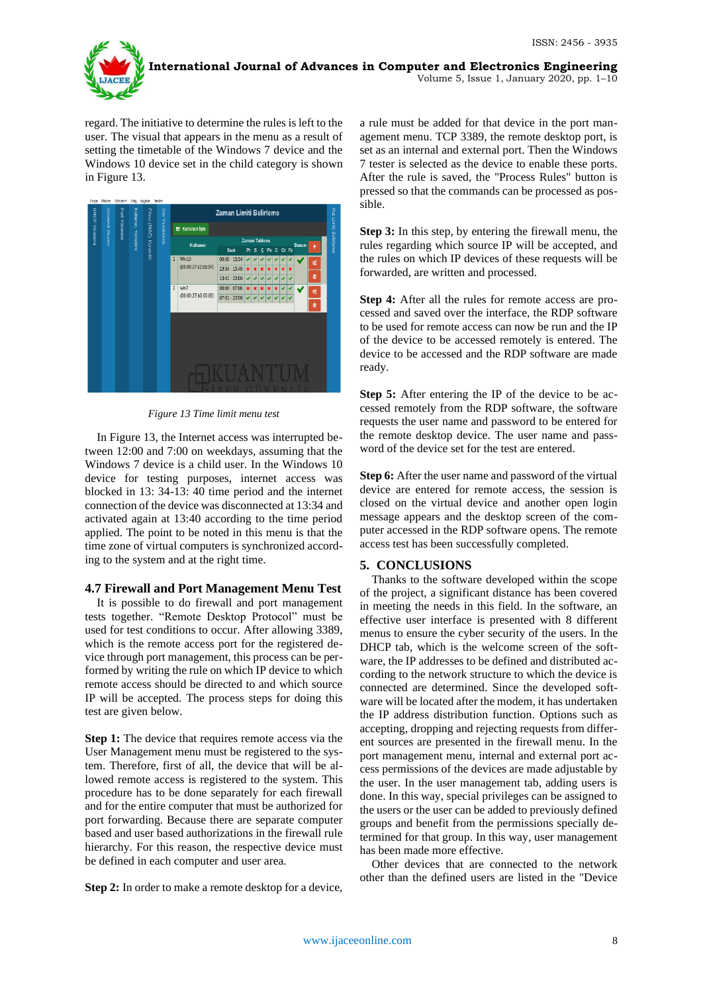

regard. The initiative to determine the rules is left to the user. The visual that appears in the menu as a result of setting the timetable of the Windows 7 device and the Windows 10 device set in the child category is shown in Figure 13.



*Figure 13 Time limit menu test*

In Figure 13, the Internet access was interrupted between 12:00 and 7:00 on weekdays, assuming that the Windows 7 device is a child user. In the Windows 10 device for testing purposes, internet access was blocked in 13: 34-13: 40 time period and the internet connection of the device was disconnected at 13:34 and activated again at 13:40 according to the time period applied. The point to be noted in this menu is that the time zone of virtual computers is synchronized according to the system and at the right time.

## **4.7 Firewall and Port Management Menu Test**

It is possible to do firewall and port management tests together. "Remote Desktop Protocol" must be used for test conditions to occur. After allowing 3389, which is the remote access port for the registered device through port management, this process can be performed by writing the rule on which IP device to which remote access should be directed to and which source IP will be accepted. The process steps for doing this test are given below.

**Step 1:** The device that requires remote access via the User Management menu must be registered to the system. Therefore, first of all, the device that will be allowed remote access is registered to the system. This procedure has to be done separately for each firewall and for the entire computer that must be authorized for port forwarding. Because there are separate computer based and user based authorizations in the firewall rule hierarchy. For this reason, the respective device must be defined in each computer and user area.

**Step 2:** In order to make a remote desktop for a device,

a rule must be added for that device in the port management menu. TCP 3389, the remote desktop port, is set as an internal and external port. Then the Windows 7 tester is selected as the device to enable these ports. After the rule is saved, the "Process Rules" button is pressed so that the commands can be processed as possible.

**Step 3:** In this step, by entering the firewall menu, the rules regarding which source IP will be accepted, and the rules on which IP devices of these requests will be forwarded, are written and processed.

**Step 4:** After all the rules for remote access are processed and saved over the interface, the RDP software to be used for remote access can now be run and the IP of the device to be accessed remotely is entered. The device to be accessed and the RDP software are made ready.

**Step 5:** After entering the IP of the device to be accessed remotely from the RDP software, the software requests the user name and password to be entered for the remote desktop device. The user name and password of the device set for the test are entered.

**Step 6:** After the user name and password of the virtual device are entered for remote access, the session is closed on the virtual device and another open login message appears and the desktop screen of the computer accessed in the RDP software opens. The remote access test has been successfully completed.

## **5. CONCLUSIONS**

Thanks to the software developed within the scope of the project, a significant distance has been covered in meeting the needs in this field. In the software, an effective user interface is presented with 8 different menus to ensure the cyber security of the users. In the DHCP tab, which is the welcome screen of the software, the IP addresses to be defined and distributed according to the network structure to which the device is connected are determined. Since the developed software will be located after the modem, it has undertaken the IP address distribution function. Options such as accepting, dropping and rejecting requests from different sources are presented in the firewall menu. In the port management menu, internal and external port access permissions of the devices are made adjustable by the user. In the user management tab, adding users is done. In this way, special privileges can be assigned to the users or the user can be added to previously defined groups and benefit from the permissions specially determined for that group. In this way, user management has been made more effective.

Other devices that are connected to the network other than the defined users are listed in the "Device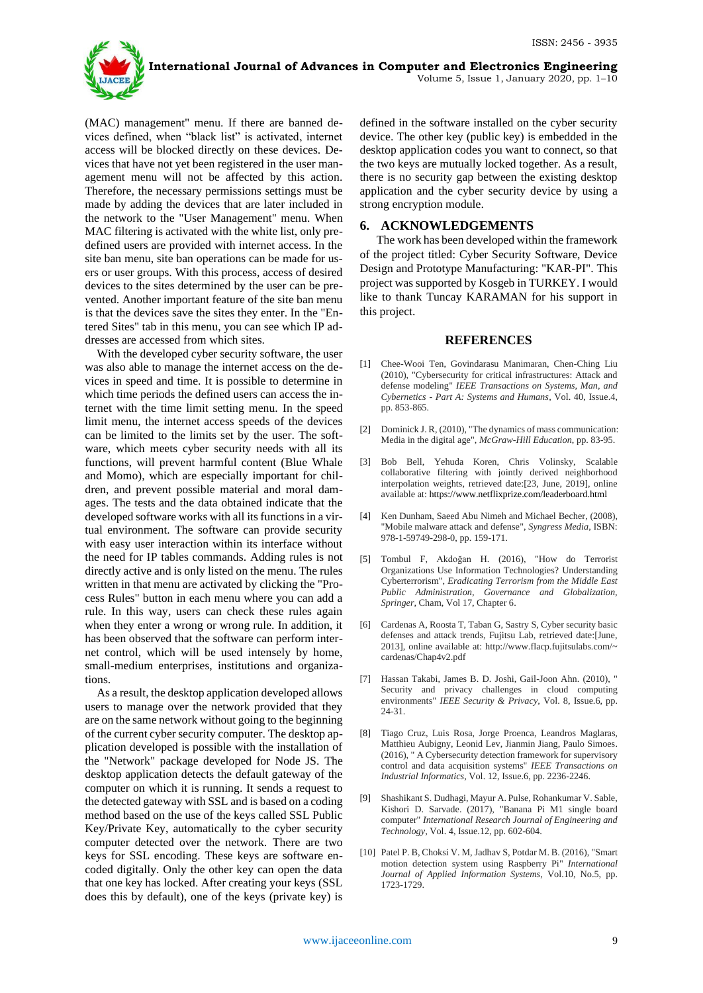

(MAC) management" menu. If there are banned devices defined, when "black list" is activated, internet access will be blocked directly on these devices. Devices that have not yet been registered in the user management menu will not be affected by this action. Therefore, the necessary permissions settings must be made by adding the devices that are later included in the network to the "User Management" menu. When MAC filtering is activated with the white list, only predefined users are provided with internet access. In the site ban menu, site ban operations can be made for users or user groups. With this process, access of desired devices to the sites determined by the user can be prevented. Another important feature of the site ban menu is that the devices save the sites they enter. In the "Entered Sites" tab in this menu, you can see which IP addresses are accessed from which sites.

With the developed cyber security software, the user was also able to manage the internet access on the devices in speed and time. It is possible to determine in which time periods the defined users can access the internet with the time limit setting menu. In the speed limit menu, the internet access speeds of the devices can be limited to the limits set by the user. The software, which meets cyber security needs with all its functions, will prevent harmful content (Blue Whale and Momo), which are especially important for children, and prevent possible material and moral damages. The tests and the data obtained indicate that the developed software works with all its functions in a virtual environment. The software can provide security with easy user interaction within its interface without the need for IP tables commands. Adding rules is not directly active and is only listed on the menu. The rules written in that menu are activated by clicking the "Process Rules" button in each menu where you can add a rule. In this way, users can check these rules again when they enter a wrong or wrong rule. In addition, it has been observed that the software can perform internet control, which will be used intensely by home, small-medium enterprises, institutions and organizations.

As a result, the desktop application developed allows users to manage over the network provided that they are on the same network without going to the beginning of the current cyber security computer. The desktop application developed is possible with the installation of the "Network" package developed for Node JS. The desktop application detects the default gateway of the computer on which it is running. It sends a request to the detected gateway with SSL and is based on a coding method based on the use of the keys called SSL Public Key/Private Key, automatically to the cyber security computer detected over the network. There are two keys for SSL encoding. These keys are software encoded digitally. Only the other key can open the data that one key has locked. After creating your keys (SSL does this by default), one of the keys (private key) is

defined in the software installed on the cyber security device. The other key (public key) is embedded in the desktop application codes you want to connect, so that the two keys are mutually locked together. As a result, there is no security gap between the existing desktop application and the cyber security device by using a strong encryption module.

# **6. ACKNOWLEDGEMENTS**

The work has been developed within the framework of the project titled: Cyber Security Software, Device Design and Prototype Manufacturing: "KAR-PI". This project was supported by Kosgeb in TURKEY. I would like to thank Tuncay KARAMAN for his support in this project.

#### **REFERENCES**

- [1] Chee-Wooi Ten, Govindarasu Manimaran, Chen-Ching Liu (2010), "Cybersecurity for critical infrastructures: Attack and defense modeling" *IEEE Transactions on Systems, Man, and Cybernetics - Part A: Systems and Humans,* Vol. 40, Issue.4, pp. 853-865.
- [2] Dominick J. R, (2010), "The dynamics of mass communication: Media in the digital age", *McGraw-Hill Education*, pp. 83-95.
- [3] Bob Bell, Yehuda Koren, Chris Volinsky, [Scalable](http://public.research.att.com/~volinsky/netflix/BellKorICDM07.pdf)  [collaborative filtering with jointly derived neighborhood](http://public.research.att.com/~volinsky/netflix/BellKorICDM07.pdf)  [interpolation weights,](http://public.research.att.com/~volinsky/netflix/BellKorICDM07.pdf) retrieved date:[23, June, 2019], online available at: https://www.netflixprize.com/leaderboard.html
- [4] Ken Dunham, Saeed Abu Nimeh and Michael Becher, (2008), "Mobile malware attack and defense", *Syngress Media*, ISBN: 978-1-59749-298-0, pp. 159-171.
- [5] Tombul F, Akdoğan H. (2016), "How do Terrorist Organizations Use Information Technologies? Understanding Cyberterrorism", *Eradicating Terrorism from the Middle East Public Administration, Governance and Globalization, Springer,* Cham, Vol 17, Chapter 6.
- [6] Cardenas A, Roosta T, Taban G, Sastry S, Cyber security basic defenses and attack trends, Fujitsu Lab, retrieved date:[June, 2013], online available at: http://www.flacp.fujitsulabs.com/~ cardenas/Chap4v2.pdf
- [7] Hassan Takabi, James B. D. Joshi, Gail-Joon Ahn. (2010), " Security and privacy challenges in cloud computing environments" *IEEE Security & Privacy,* Vol. 8, Issue.6, pp. 24-31.
- [8] Tiago Cruz, Luis Rosa, Jorge Proenca, Leandros Maglaras, Matthieu Aubigny, Leonid Lev, Jianmin Jiang, Paulo Simoes. (2016), " A Cybersecurity detection framework for supervisory control and data acquisition systems" *IEEE Transactions on Industrial Informatics,* Vol. 12, Issue.6, pp. 2236-2246.
- [9] Shashikant S. Dudhagi, Mayur A. Pulse, Rohankumar V. Sable, Kishori D. Sarvade. (2017), "Banana Pi M1 single board computer" *International Research Journal of Engineering and Technology,* Vol. 4, Issue.12, pp. 602-604.
- [10] Patel P. B, Choksi V. M, Jadhav S, Potdar M. B. (2016), "Smart motion detection system using Raspberry Pi" *International Journal of Applied Information Systems*, Vol.10, No.5, pp. 1723-1729.